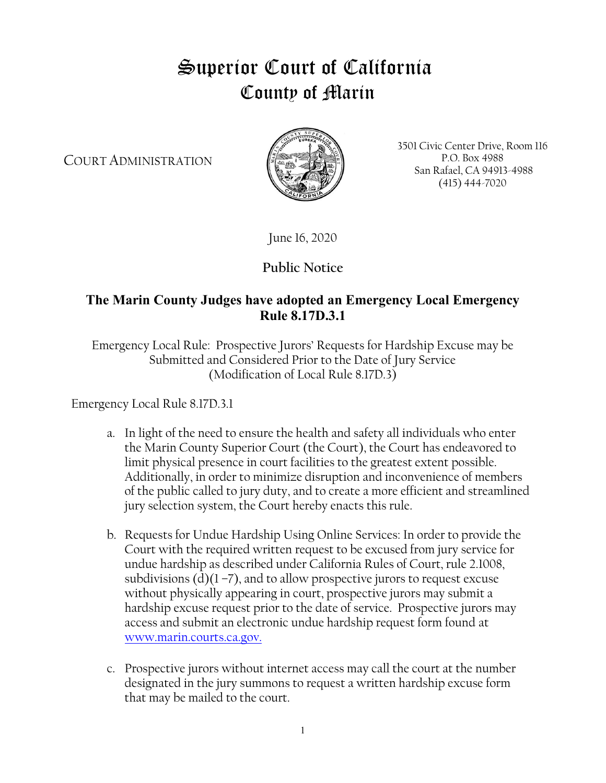## Superior Court of California County of Marin

COURT ADMINISTRATION



3501 Civic Center Drive, Room 116 P.O. Box 4988 San Rafael, CA 94913-4988 (415) 444-7020

June 16, 2020

**Public Notice**

## **The Marin County Judges have adopted an Emergency Local Emergency Rule 8.17D.3.1**

Emergency Local Rule: Prospective Jurors' Requests for Hardship Excuse may be Submitted and Considered Prior to the Date of Jury Service (Modification of Local Rule 8.17D.3)

Emergency Local Rule 8.17D.3.1

- a. In light of the need to ensure the health and safety all individuals who enter the Marin County Superior Court (the Court), the Court has endeavored to limit physical presence in court facilities to the greatest extent possible. Additionally, in order to minimize disruption and inconvenience of members of the public called to jury duty, and to create a more efficient and streamlined jury selection system, the Court hereby enacts this rule.
- b. Requests for Undue Hardship Using Online Services: In order to provide the Court with the required written request to be excused from jury service for undue hardship as described under California Rules of Court, rule 2.1008, subdivisions  $(d)(1 - 7)$ , and to allow prospective jurors to request excuse without physically appearing in court, prospective jurors may submit a hardship excuse request prior to the date of service. Prospective jurors may access and submit an electronic undue hardship request form found at [www.marin.courts.ca.gov.](http://www.marin.courts.ca.gov/)
- c. Prospective jurors without internet access may call the court at the number designated in the jury summons to request a written hardship excuse form that may be mailed to the court.